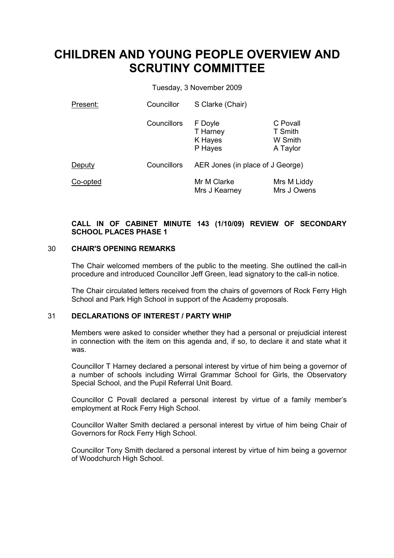# CHILDREN AND YOUNG PEOPLE OVERVIEW AND SCRUTINY COMMITTEE

Tuesday, 3 November 2009

| Present: | Councillor  | S Clarke (Chair)                          |                                            |
|----------|-------------|-------------------------------------------|--------------------------------------------|
|          | Councillors | F Doyle<br>T Harney<br>K Hayes<br>P Hayes | C Povall<br>T Smith<br>W Smith<br>A Taylor |
| Deputy   | Councillors | AER Jones (in place of J George)          |                                            |
| Co-opted |             | Mr M Clarke<br>Mrs J Kearney              | Mrs M Liddy<br>Mrs J Owens                 |

# CALL IN OF CABINET MINUTE 143 (1/10/09) REVIEW OF SECONDARY SCHOOL PLACES PHASE 1

# 30 CHAIR'S OPENING REMARKS

The Chair welcomed members of the public to the meeting. She outlined the call-in procedure and introduced Councillor Jeff Green, lead signatory to the call-in notice.

The Chair circulated letters received from the chairs of governors of Rock Ferry High School and Park High School in support of the Academy proposals.

# 31 DECLARATIONS OF INTEREST / PARTY WHIP

Members were asked to consider whether they had a personal or prejudicial interest in connection with the item on this agenda and, if so, to declare it and state what it was.

Councillor T Harney declared a personal interest by virtue of him being a governor of a number of schools including Wirral Grammar School for Girls, the Observatory Special School, and the Pupil Referral Unit Board.

Councillor C Povall declared a personal interest by virtue of a family member's employment at Rock Ferry High School.

Councillor Walter Smith declared a personal interest by virtue of him being Chair of Governors for Rock Ferry High School.

Councillor Tony Smith declared a personal interest by virtue of him being a governor of Woodchurch High School.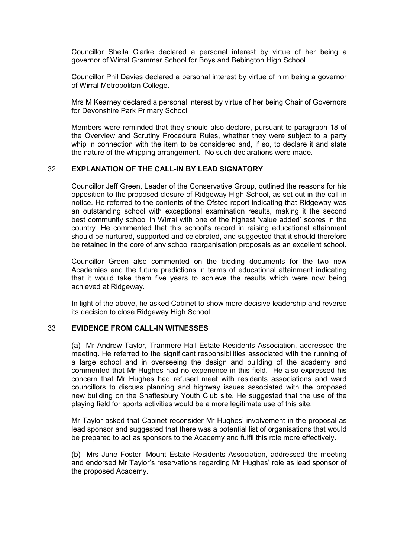Councillor Sheila Clarke declared a personal interest by virtue of her being a governor of Wirral Grammar School for Boys and Bebington High School.

Councillor Phil Davies declared a personal interest by virtue of him being a governor of Wirral Metropolitan College.

Mrs M Kearney declared a personal interest by virtue of her being Chair of Governors for Devonshire Park Primary School

Members were reminded that they should also declare, pursuant to paragraph 18 of the Overview and Scrutiny Procedure Rules, whether they were subject to a party whip in connection with the item to be considered and, if so, to declare it and state the nature of the whipping arrangement. No such declarations were made.

#### 32 EXPLANATION OF THE CALL-IN BY LEAD SIGNATORY

Councillor Jeff Green, Leader of the Conservative Group, outlined the reasons for his opposition to the proposed closure of Ridgeway High School, as set out in the call-in notice. He referred to the contents of the Ofsted report indicating that Ridgeway was an outstanding school with exceptional examination results, making it the second best community school in Wirral with one of the highest 'value added' scores in the country. He commented that this school's record in raising educational attainment should be nurtured, supported and celebrated, and suggested that it should therefore be retained in the core of any school reorganisation proposals as an excellent school.

Councillor Green also commented on the bidding documents for the two new Academies and the future predictions in terms of educational attainment indicating that it would take them five years to achieve the results which were now being achieved at Ridgeway.

In light of the above, he asked Cabinet to show more decisive leadership and reverse its decision to close Ridgeway High School.

#### 33 EVIDENCE FROM CALL-IN WITNESSES

(a) Mr Andrew Taylor, Tranmere Hall Estate Residents Association, addressed the meeting. He referred to the significant responsibilities associated with the running of a large school and in overseeing the design and building of the academy and commented that Mr Hughes had no experience in this field. He also expressed his concern that Mr Hughes had refused meet with residents associations and ward councillors to discuss planning and highway issues associated with the proposed new building on the Shaftesbury Youth Club site. He suggested that the use of the playing field for sports activities would be a more legitimate use of this site.

Mr Taylor asked that Cabinet reconsider Mr Hughes' involvement in the proposal as lead sponsor and suggested that there was a potential list of organisations that would be prepared to act as sponsors to the Academy and fulfil this role more effectively.

(b) Mrs June Foster, Mount Estate Residents Association, addressed the meeting and endorsed Mr Taylor's reservations regarding Mr Hughes' role as lead sponsor of the proposed Academy.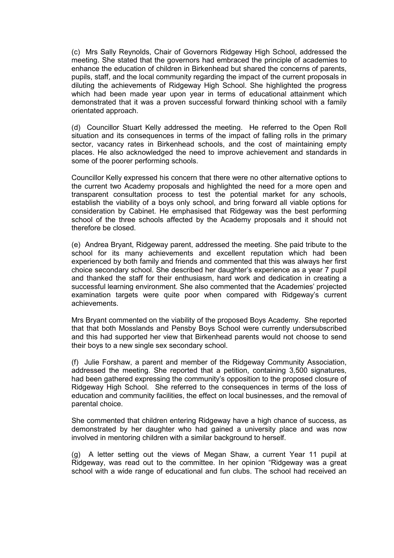(c) Mrs Sally Reynolds, Chair of Governors Ridgeway High School, addressed the meeting. She stated that the governors had embraced the principle of academies to enhance the education of children in Birkenhead but shared the concerns of parents, pupils, staff, and the local community regarding the impact of the current proposals in diluting the achievements of Ridgeway High School. She highlighted the progress which had been made year upon year in terms of educational attainment which demonstrated that it was a proven successful forward thinking school with a family orientated approach.

(d) Councillor Stuart Kelly addressed the meeting. He referred to the Open Roll situation and its consequences in terms of the impact of falling rolls in the primary sector, vacancy rates in Birkenhead schools, and the cost of maintaining empty places. He also acknowledged the need to improve achievement and standards in some of the poorer performing schools.

Councillor Kelly expressed his concern that there were no other alternative options to the current two Academy proposals and highlighted the need for a more open and transparent consultation process to test the potential market for any schools, establish the viability of a boys only school, and bring forward all viable options for consideration by Cabinet. He emphasised that Ridgeway was the best performing school of the three schools affected by the Academy proposals and it should not therefore be closed.

(e) Andrea Bryant, Ridgeway parent, addressed the meeting. She paid tribute to the school for its many achievements and excellent reputation which had been experienced by both family and friends and commented that this was always her first choice secondary school. She described her daughter's experience as a year 7 pupil and thanked the staff for their enthusiasm, hard work and dedication in creating a successful learning environment. She also commented that the Academies' projected examination targets were quite poor when compared with Ridgeway's current achievements.

Mrs Bryant commented on the viability of the proposed Boys Academy. She reported that that both Mosslands and Pensby Boys School were currently undersubscribed and this had supported her view that Birkenhead parents would not choose to send their boys to a new single sex secondary school.

(f) Julie Forshaw, a parent and member of the Ridgeway Community Association, addressed the meeting. She reported that a petition, containing 3,500 signatures, had been gathered expressing the community's opposition to the proposed closure of Ridgeway High School. She referred to the consequences in terms of the loss of education and community facilities, the effect on local businesses, and the removal of parental choice.

She commented that children entering Ridgeway have a high chance of success, as demonstrated by her daughter who had gained a university place and was now involved in mentoring children with a similar background to herself.

(g) A letter setting out the views of Megan Shaw, a current Year 11 pupil at Ridgeway, was read out to the committee. In her opinion "Ridgeway was a great school with a wide range of educational and fun clubs. The school had received an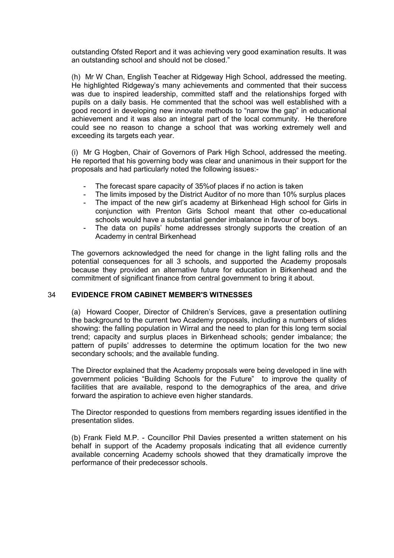outstanding Ofsted Report and it was achieving very good examination results. It was an outstanding school and should not be closed."

(h) Mr W Chan, English Teacher at Ridgeway High School, addressed the meeting. He highlighted Ridgeway's many achievements and commented that their success was due to inspired leadership, committed staff and the relationships forged with pupils on a daily basis. He commented that the school was well established with a good record in developing new innovate methods to "narrow the gap" in educational achievement and it was also an integral part of the local community. He therefore could see no reason to change a school that was working extremely well and exceeding its targets each year.

(i) Mr G Hogben, Chair of Governors of Park High School, addressed the meeting. He reported that his governing body was clear and unanimous in their support for the proposals and had particularly noted the following issues:-

- The forecast spare capacity of 35% of places if no action is taken
- The limits imposed by the District Auditor of no more than 10% surplus places
- The impact of the new girl's academy at Birkenhead High school for Girls in conjunction with Prenton Girls School meant that other co-educational schools would have a substantial gender imbalance in favour of boys.
- The data on pupils' home addresses strongly supports the creation of an Academy in central Birkenhead

The governors acknowledged the need for change in the light falling rolls and the potential consequences for all 3 schools, and supported the Academy proposals because they provided an alternative future for education in Birkenhead and the commitment of significant finance from central government to bring it about.

# 34 EVIDENCE FROM CABINET MEMBER'S WITNESSES

(a) Howard Cooper, Director of Children's Services, gave a presentation outlining the background to the current two Academy proposals, including a numbers of slides showing: the falling population in Wirral and the need to plan for this long term social trend; capacity and surplus places in Birkenhead schools; gender imbalance; the pattern of pupils' addresses to determine the optimum location for the two new secondary schools; and the available funding.

The Director explained that the Academy proposals were being developed in line with government policies "Building Schools for the Future" to improve the quality of facilities that are available, respond to the demographics of the area, and drive forward the aspiration to achieve even higher standards.

The Director responded to questions from members regarding issues identified in the presentation slides.

(b) Frank Field M.P. - Councillor Phil Davies presented a written statement on his behalf in support of the Academy proposals indicating that all evidence currently available concerning Academy schools showed that they dramatically improve the performance of their predecessor schools.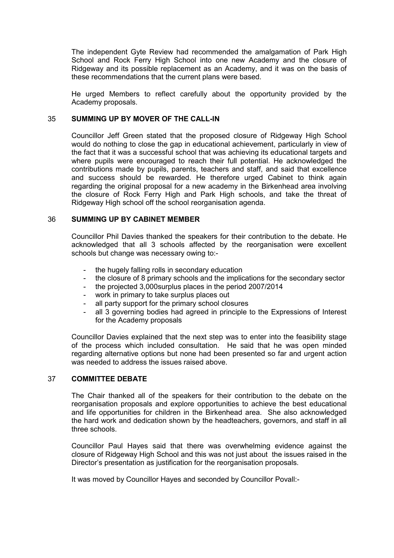The independent Gyte Review had recommended the amalgamation of Park High School and Rock Ferry High School into one new Academy and the closure of Ridgeway and its possible replacement as an Academy, and it was on the basis of these recommendations that the current plans were based.

He urged Members to reflect carefully about the opportunity provided by the Academy proposals.

# 35 SUMMING UP BY MOVER OF THE CALL-IN

Councillor Jeff Green stated that the proposed closure of Ridgeway High School would do nothing to close the gap in educational achievement, particularly in view of the fact that it was a successful school that was achieving its educational targets and where pupils were encouraged to reach their full potential. He acknowledged the contributions made by pupils, parents, teachers and staff, and said that excellence and success should be rewarded. He therefore urged Cabinet to think again regarding the original proposal for a new academy in the Birkenhead area involving the closure of Rock Ferry High and Park High schools, and take the threat of Ridgeway High school off the school reorganisation agenda.

# 36 SUMMING UP BY CABINET MEMBER

Councillor Phil Davies thanked the speakers for their contribution to the debate. He acknowledged that all 3 schools affected by the reorganisation were excellent schools but change was necessary owing to:-

- the hugely falling rolls in secondary education
- the closure of 8 primary schools and the implications for the secondary sector
- the projected 3,000 surplus places in the period 2007/2014
- work in primary to take surplus places out
- all party support for the primary school closures
- all 3 governing bodies had agreed in principle to the Expressions of Interest for the Academy proposals

Councillor Davies explained that the next step was to enter into the feasibility stage of the process which included consultation. He said that he was open minded regarding alternative options but none had been presented so far and urgent action was needed to address the issues raised above.

#### 37 COMMITTEE DEBATE

The Chair thanked all of the speakers for their contribution to the debate on the reorganisation proposals and explore opportunities to achieve the best educational and life opportunities for children in the Birkenhead area. She also acknowledged the hard work and dedication shown by the headteachers, governors, and staff in all three schools.

Councillor Paul Hayes said that there was overwhelming evidence against the closure of Ridgeway High School and this was not just about the issues raised in the Director's presentation as justification for the reorganisation proposals.

It was moved by Councillor Hayes and seconded by Councillor Povall:-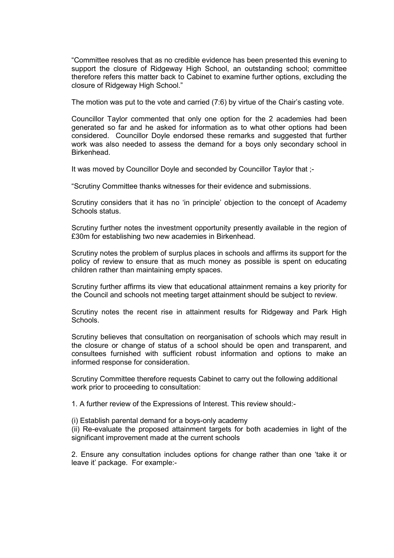"Committee resolves that as no credible evidence has been presented this evening to support the closure of Ridgeway High School, an outstanding school; committee therefore refers this matter back to Cabinet to examine further options, excluding the closure of Ridgeway High School."

The motion was put to the vote and carried (7:6) by virtue of the Chair's casting vote.

Councillor Taylor commented that only one option for the 2 academies had been generated so far and he asked for information as to what other options had been considered. Councillor Doyle endorsed these remarks and suggested that further work was also needed to assess the demand for a boys only secondary school in Birkenhead.

It was moved by Councillor Doyle and seconded by Councillor Taylor that ;-

"Scrutiny Committee thanks witnesses for their evidence and submissions.

Scrutiny considers that it has no 'in principle' objection to the concept of Academy Schools status.

Scrutiny further notes the investment opportunity presently available in the region of £30m for establishing two new academies in Birkenhead.

Scrutiny notes the problem of surplus places in schools and affirms its support for the policy of review to ensure that as much money as possible is spent on educating children rather than maintaining empty spaces.

Scrutiny further affirms its view that educational attainment remains a key priority for the Council and schools not meeting target attainment should be subject to review.

Scrutiny notes the recent rise in attainment results for Ridgeway and Park High Schools.

Scrutiny believes that consultation on reorganisation of schools which may result in the closure or change of status of a school should be open and transparent, and consultees furnished with sufficient robust information and options to make an informed response for consideration.

Scrutiny Committee therefore requests Cabinet to carry out the following additional work prior to proceeding to consultation:

1. A further review of the Expressions of Interest. This review should:-

(i) Establish parental demand for a boys-only academy

(ii) Re-evaluate the proposed attainment targets for both academies in light of the significant improvement made at the current schools

2. Ensure any consultation includes options for change rather than one 'take it or leave it' package. For example:-